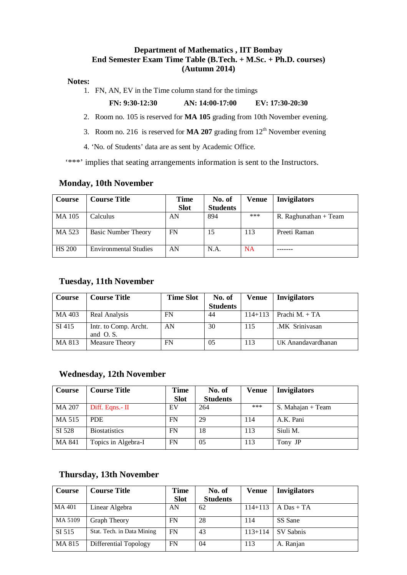### **Department of Mathematics , IIT Bombay End Semester Exam Time Table (B.Tech. + M.Sc. + Ph.D. courses) (Autumn 2014)**

#### **Notes:**

1. FN, AN, EV in the Time column stand for the timings

#### **FN: 9:30-12:30 AN: 14:00-17:00 EV: 17:30-20:30**

- 2. Room no. 105 is reserved for **MA 105** grading from 10th November evening.
- 3. Room no. 216is reserved for **MA 207** grading from 12th November evening
- 4. 'No. of Students' data are as sent by Academic Office.

'\*\*\*' implies that seating arrangements information is sent to the Instructors.

### **Monday, 10th November**

| <b>Course</b> | <b>Course Title</b>   | Time        | No. of          | Venue     | <b>Invigilators</b>     |
|---------------|-----------------------|-------------|-----------------|-----------|-------------------------|
|               |                       | <b>Slot</b> | <b>Students</b> |           |                         |
| MA 105        | Calculus              | AN          | 894             | ***       | R. Raghunathan $+$ Team |
| MA 523        | Basic Number Theory   | FN          | 15              | 113       | Preeti Raman            |
| <b>HS 200</b> | Environmental Studies | AN          | N.A.            | <b>NA</b> |                         |

### **Tuesday, 11th November**

| Course | <b>Course Title</b>                 | <b>Time Slot</b> | No. of          | <b>Venue</b> | <b>Invigilators</b> |
|--------|-------------------------------------|------------------|-----------------|--------------|---------------------|
|        |                                     |                  | <b>Students</b> |              |                     |
| MA 403 | Real Analysis                       | FN               | 44              | $114 + 113$  | Prachi M. $+TA$     |
| SI 415 | Intr. to Comp. Archt.<br>and $O.S.$ | AN               | 30              | 115          | .MK Srinivasan      |
| MA 813 | Measure Theory                      | FN               | 0 <sub>5</sub>  | 113          | UK Anandavardhanan  |

### **Wednesday, 12th November**

| Course        | <b>Course Title</b>  | Time        | No. of          | <b>Venue</b> | <b>Invigilators</b> |
|---------------|----------------------|-------------|-----------------|--------------|---------------------|
|               |                      | <b>Slot</b> | <b>Students</b> |              |                     |
| <b>MA 207</b> | Diff. Eqns.- II      | EV          | 264             | ***          | S. Mahajan + Team   |
| MA 515        | PDE.                 | FN          | 29              | 114          | A.K. Pani           |
| SI 528        | <b>Biostatistics</b> | FN          | 18              | 113          | Siuli M.            |
| MA 841        | Topics in Algebra-I  | FN          | 05              | 113          | Tony JP             |

### **Thursday, 13th November**

| Course        | <b>Course Title</b>        | <b>Time</b> | No. of          | <b>Venue</b> | <b>Invigilators</b> |
|---------------|----------------------------|-------------|-----------------|--------------|---------------------|
|               |                            | <b>Slot</b> | <b>Students</b> |              |                     |
| <b>MA 401</b> | Linear Algebra             | AN          | 62              | $114 + 113$  | $A$ Das + TA        |
| MA 5109       | Graph Theory               | FN          | 28              | 114          | SS Sane             |
| SI 515        | Stat. Tech. in Data Mining | FN          | 43              | $113 + 114$  | SV Sabnis           |
| MA 815        | Differential Topology      | FN          | 04              | 113          | A. Ranjan           |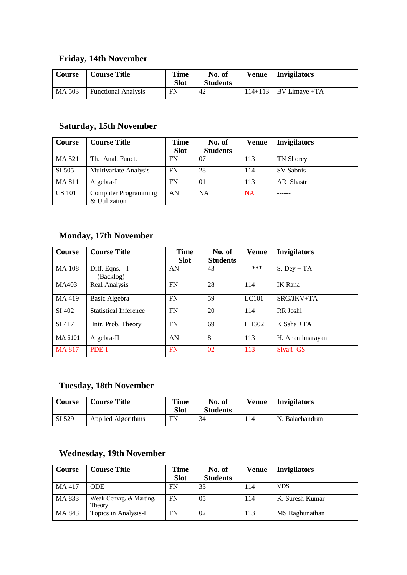# **Friday, 14th November**

.

| Course | <b>Course Title</b>        | Time<br><b>Slot</b> | No. of<br><b>Students</b> | <b>Venue</b> | Invigilators            |
|--------|----------------------------|---------------------|---------------------------|--------------|-------------------------|
| MA 503 | <b>Functional Analysis</b> | FN                  | 42                        |              | $114+113$ BV Limave +TA |

# **Saturday, 15th November**

| Course        | <b>Course Title</b>                   | Time        | No. of          | Venue     | <b>Invigilators</b> |
|---------------|---------------------------------------|-------------|-----------------|-----------|---------------------|
|               |                                       | <b>Slot</b> | <b>Students</b> |           |                     |
| MA 521        | Th. Anal. Funct.                      | FN          | 07              | 113       | TN Shorey           |
| SI 505        | Multivariate Analysis                 | FN          | 28              | 114       | SV Sabnis           |
| MA 811        | Algebra-I                             | FN          | $\Omega$        | 113       | AR Shastri          |
| <b>CS</b> 101 | Computer Programming<br>& Utilization | AN          | <b>NA</b>       | <b>NA</b> |                     |

## **Monday, 17th November**

| Course        | <b>Course Title</b>   | <b>Time</b> | No. of          | <b>Venue</b> | <b>Invigilators</b> |
|---------------|-----------------------|-------------|-----------------|--------------|---------------------|
|               |                       | <b>Slot</b> | <b>Students</b> |              |                     |
| <b>MA 108</b> | $Diff. Eqns. - I$     | AN          | 43              | ***          | $S.$ Dey + TA       |
|               | (Backlog)             |             |                 |              |                     |
| MA403         | Real Analysis         | <b>FN</b>   | 28              | 114          | IK Rana             |
|               |                       |             |                 |              |                     |
| MA 419        | Basic Algebra         | <b>FN</b>   | 59              | LC101        | $SRG/JKV+TA$        |
|               |                       |             |                 |              |                     |
| SI 402        | Statistical Inference | <b>FN</b>   | 20              | 114          | RR Joshi            |
| SI 417        | Intr. Prob. Theory    | <b>FN</b>   | 69              | LH302        | $K$ Saha +TA        |
|               |                       |             |                 |              |                     |
| MA 5101       | Algebra-II            | AN          | 8               | 113          | H. Ananthnarayan    |
|               |                       |             |                 |              |                     |
| <b>MA 817</b> | PDE-I                 | FN          | 02              | 113          | Sivaji GS           |

## **Tuesday, 18th November**

| Course | <b>Course Title</b> | <b>Time</b><br><b>Slot</b> | No. of<br><b>Students</b> | <b>Venue</b> | <b>Invigilators</b> |
|--------|---------------------|----------------------------|---------------------------|--------------|---------------------|
| SI 529 | Applied Algorithms  | FN                         | 34                        | 114          | N. Balachandran     |

## **Wednesday, 19th November**

| Course | <b>Course Title</b>               | Time        | No. of          | Venue | <b>Invigilators</b> |
|--------|-----------------------------------|-------------|-----------------|-------|---------------------|
|        |                                   | <b>Slot</b> | <b>Students</b> |       |                     |
| MA 417 | <b>ODE</b>                        | FN          | 33              | 114   | <b>VDS</b>          |
| MA 833 | Weak Convrg. & Marting.<br>Theory | FN          | 0.5             | 114   | K. Suresh Kumar     |
| MA 843 | Topics in Analysis-I              | FN          | 02              | 113   | MS Raghunathan      |